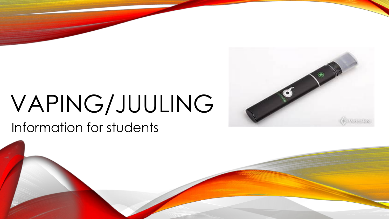# VAPING/JUULING

#### Information for students

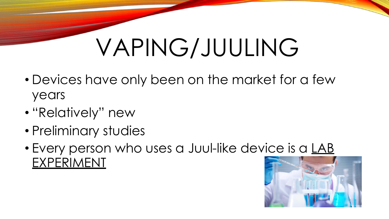## VAPING/JUULING

- Devices have only been on the market for a few years
- "Relatively" new
- Preliminary studies
- Every person who uses a Juul-like device is a LAB EXPERIMENT

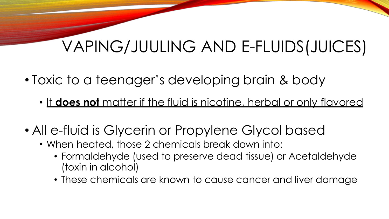## VAPING/JUULING AND E-FLUIDS(JUICES)

- Toxic to a teenager's developing brain & body
	- It **does not** matter if the fluid is nicotine, herbal or only flavored
- All e-fluid is Glycerin or Propylene Glycol based
	- When heated, those 2 chemicals break down into:
		- Formaldehyde (used to preserve dead tissue) or Acetaldehyde (toxin in alcohol)
		- These chemicals are known to cause cancer and liver damage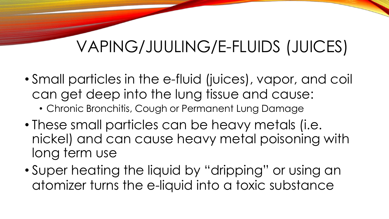## VAPING/JUULING/E-FLUIDS (JUICES)

- Small particles in the e-fluid (juices), vapor, and coil can get deep into the lung tissue and cause:
	- Chronic Bronchitis, Cough or Permanent Lung Damage
- These small particles can be heavy metals (i.e. nickel) and can cause heavy metal poisoning with long term use
- Super heating the liquid by "dripping" or using an atomizer turns the e-liquid into a toxic substance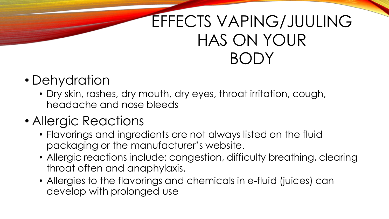## EFFECTS VAPING/JUULING HAS ON YOUR BODY

### • Dehydration

• Dry skin, rashes, dry mouth, dry eyes, throat irritation, cough, headache and nose bleeds

#### • Allergic Reactions

- Flavorings and ingredients are not always listed on the fluid packaging or the manufacturer's website.
- Allergic reactions include: congestion, difficulty breathing, clearing throat often and anaphylaxis.
- Allergies to the flavorings and chemicals in e-fluid (juices) can develop with prolonged use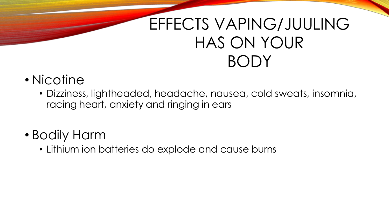## EFFECTS VAPING/JUULING HAS ON YOUR BODY

#### • Nicotine

• Dizziness, lightheaded, headache, nausea, cold sweats, insomnia, racing heart, anxiety and ringing in ears

#### • Bodily Harm

• Lithium ion batteries do explode and cause burns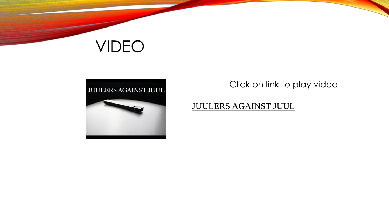### VIDEO



Click on link to play video

#### [JUULERS AGAINST JUUL](https://www.youtube.com/watch?v=7EsNG7RcStQ)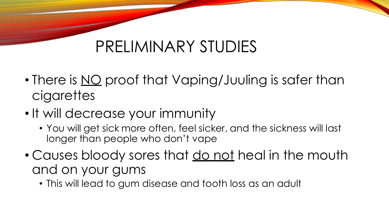## PRELIMINARY STUDIES

- There is <u>NO</u> proof that Vaping/Juuling is safer than cigarettes
- It will decrease your immunity
	- You will get sick more often, feel sicker, and the sickness will last longer than people who don't vape
- Causes bloody sores that do not heal in the mouth and on your gums
	- This will lead to gum disease and tooth loss as an adult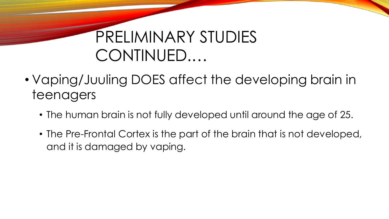## PRELIMINARY STUDIES CONTINUED.…

- Vaping/Juuling DOES affect the developing brain in teenagers
	- The human brain is not fully developed until around the age of 25.
	- The Pre-Frontal Cortex is the part of the brain that is not developed, and it is damaged by vaping.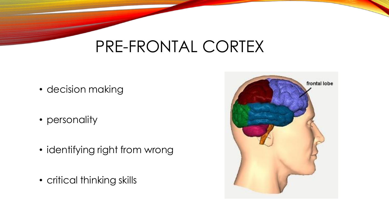### PRE-FRONTAL CORTEX

- decision making
- personality
- identifying right from wrong
- critical thinking skills

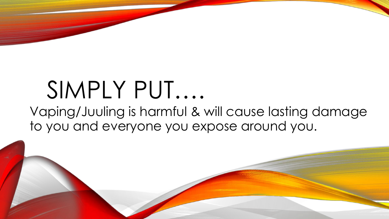## SIMPLY PUT….

Vaping/Juuling is harmful & will cause lasting damage to you and everyone you expose around you.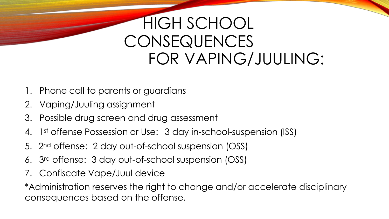## HIGH SCHOOL **CONSEQUENCES** FOR VAPING/JUULING:

- 1. Phone call to parents or guardians
- 2. Vaping/Juuling assignment
- 3. Possible drug screen and drug assessment
- 4. 1st offense Possession or Use: 3 day in-school-suspension (ISS)
- 5. 2nd offense: 2 day out-of-school suspension (OSS)
- 6. 3rd offense: 3 day out-of-school suspension (OSS)
- 7. Confiscate Vape/Juul device

\*Administration reserves the right to change and/or accelerate disciplinary consequences based on the offense.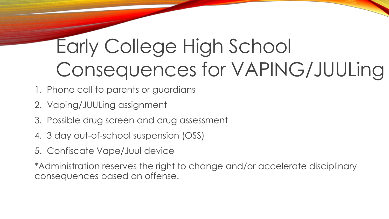## Early College High School Consequences for VAPING/JUULing

- 1. Phone call to parents or guardians
- 2. Vaping/JUULing assignment
- 3. Possible drug screen and drug assessment
- 4. 3 day out-of-school suspension (OSS)
- 5. Confiscate Vape/Juul device

\*Administration reserves the right to change and/or accelerate disciplinary consequences based on offense.